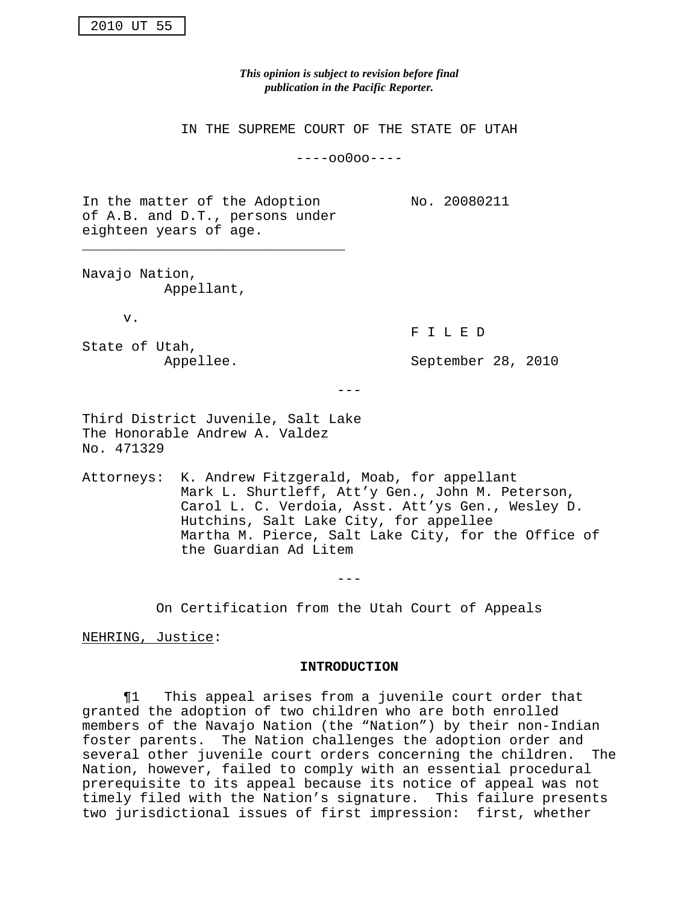*This opinion is subject to revision before final publication in the Pacific Reporter.*

IN THE SUPREME COURT OF THE STATE OF UTAH

----oo0oo----

In the matter of the Adoption No. 20080211 of A.B. and D.T., persons under eighteen years of age.

\_\_\_\_\_\_\_\_\_\_\_\_\_\_\_\_\_\_\_\_\_\_\_\_\_\_\_\_\_\_\_\_

Navajo Nation, Appellant,

v.

F I L E D

State of Utah,

Appellee. September 28, 2010

 $- - -$ 

Third District Juvenile, Salt Lake The Honorable Andrew A. Valdez No. 471329

Attorneys: K. Andrew Fitzgerald, Moab, for appellant Mark L. Shurtleff, Att'y Gen., John M. Peterson, Carol L. C. Verdoia, Asst. Att'ys Gen., Wesley D. Hutchins, Salt Lake City, for appellee Martha M. Pierce, Salt Lake City, for the Office of the Guardian Ad Litem

---

On Certification from the Utah Court of Appeals

NEHRING, Justice:

### **INTRODUCTION**

¶1 This appeal arises from a juvenile court order that granted the adoption of two children who are both enrolled members of the Navajo Nation (the "Nation") by their non-Indian foster parents. The Nation challenges the adoption order and several other juvenile court orders concerning the children. The Nation, however, failed to comply with an essential procedural prerequisite to its appeal because its notice of appeal was not timely filed with the Nation's signature. This failure presents two jurisdictional issues of first impression: first, whether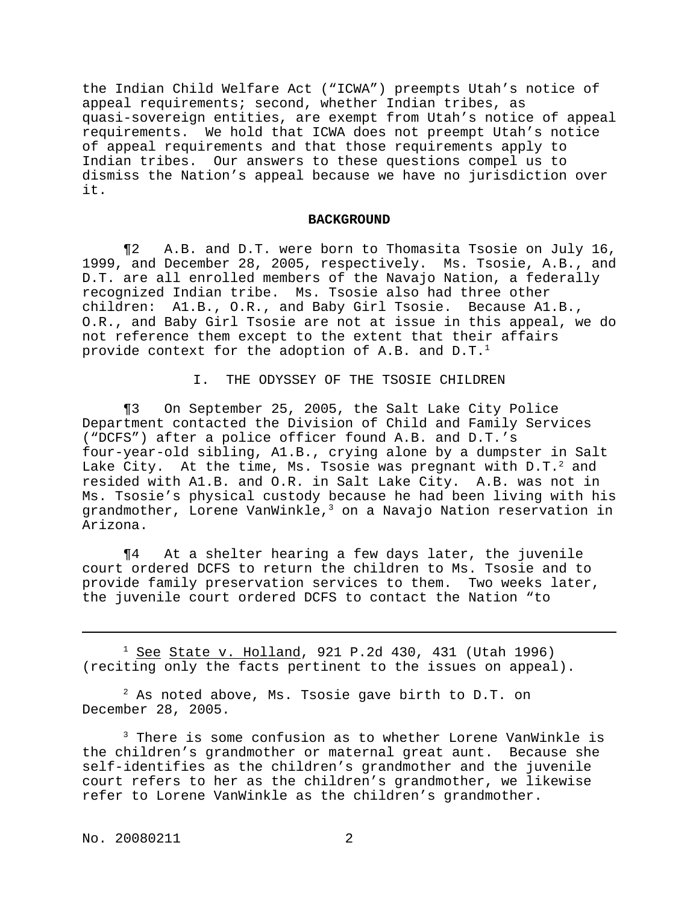the Indian Child Welfare Act ("ICWA") preempts Utah's notice of appeal requirements; second, whether Indian tribes, as quasi-sovereign entities, are exempt from Utah's notice of appeal requirements. We hold that ICWA does not preempt Utah's notice of appeal requirements and that those requirements apply to Indian tribes. Our answers to these questions compel us to dismiss the Nation's appeal because we have no jurisdiction over it.

#### **BACKGROUND**

¶2 A.B. and D.T. were born to Thomasita Tsosie on July 16, 1999, and December 28, 2005, respectively. Ms. Tsosie, A.B., and D.T. are all enrolled members of the Navajo Nation, a federally recognized Indian tribe. Ms. Tsosie also had three other children: A1.B., O.R., and Baby Girl Tsosie. Because A1.B., O.R., and Baby Girl Tsosie are not at issue in this appeal, we do not reference them except to the extent that their affairs provide context for the adoption of A.B. and  $D.T.^1$ 

I. THE ODYSSEY OF THE TSOSIE CHILDREN

¶3 On September 25, 2005, the Salt Lake City Police Department contacted the Division of Child and Family Services ("DCFS") after a police officer found A.B. and D.T.'s four-year-old sibling, A1.B., crying alone by a dumpster in Salt Lake City. At the time, Ms. Tsosie was pregnant with  $D.T.^2$  and resided with A1.B. and O.R. in Salt Lake City. A.B. was not in Ms. Tsosie's physical custody because he had been living with his grandmother, Lorene VanWinkle, $3$  on a Navajo Nation reservation in Arizona.

¶4 At a shelter hearing a few days later, the juvenile court ordered DCFS to return the children to Ms. Tsosie and to provide family preservation services to them. Two weeks later, the juvenile court ordered DCFS to contact the Nation "to

 $1$  See State v. Holland, 921 P.2d 430, 431 (Utah 1996) (reciting only the facts pertinent to the issues on appeal).

 $2$  As noted above, Ms. Tsosie gave birth to D.T. on December 28, 2005.

<sup>3</sup> There is some confusion as to whether Lorene VanWinkle is the children's grandmother or maternal great aunt. Because she self-identifies as the children's grandmother and the juvenile court refers to her as the children's grandmother, we likewise refer to Lorene VanWinkle as the children's grandmother.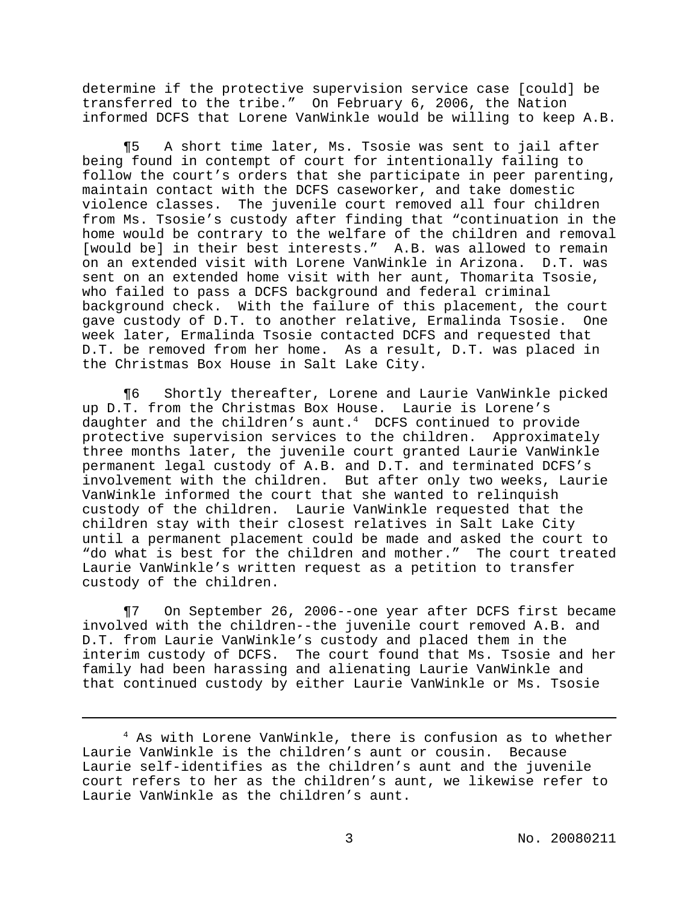determine if the protective supervision service case [could] be transferred to the tribe." On February 6, 2006, the Nation informed DCFS that Lorene VanWinkle would be willing to keep A.B.

¶5 A short time later, Ms. Tsosie was sent to jail after being found in contempt of court for intentionally failing to follow the court's orders that she participate in peer parenting, maintain contact with the DCFS caseworker, and take domestic violence classes. The juvenile court removed all four children from Ms. Tsosie's custody after finding that "continuation in the home would be contrary to the welfare of the children and removal [would be] in their best interests." A.B. was allowed to remain on an extended visit with Lorene VanWinkle in Arizona. D.T. was sent on an extended home visit with her aunt, Thomarita Tsosie, who failed to pass a DCFS background and federal criminal background check. With the failure of this placement, the court gave custody of D.T. to another relative, Ermalinda Tsosie. One week later, Ermalinda Tsosie contacted DCFS and requested that D.T. be removed from her home. As a result, D.T. was placed in the Christmas Box House in Salt Lake City.

¶6 Shortly thereafter, Lorene and Laurie VanWinkle picked up D.T. from the Christmas Box House. Laurie is Lorene's daughter and the children's aunt.<sup>4</sup> DCFS continued to provide protective supervision services to the children. Approximately three months later, the juvenile court granted Laurie VanWinkle permanent legal custody of A.B. and D.T. and terminated DCFS's involvement with the children. But after only two weeks, Laurie VanWinkle informed the court that she wanted to relinquish custody of the children. Laurie VanWinkle requested that the children stay with their closest relatives in Salt Lake City until a permanent placement could be made and asked the court to "do what is best for the children and mother." The court treated Laurie VanWinkle's written request as a petition to transfer custody of the children.

¶7 On September 26, 2006--one year after DCFS first became involved with the children--the juvenile court removed A.B. and D.T. from Laurie VanWinkle's custody and placed them in the interim custody of DCFS. The court found that Ms. Tsosie and her family had been harassing and alienating Laurie VanWinkle and that continued custody by either Laurie VanWinkle or Ms. Tsosie

<sup>4</sup> As with Lorene VanWinkle, there is confusion as to whether Laurie VanWinkle is the children's aunt or cousin. Because Laurie self-identifies as the children's aunt and the juvenile court refers to her as the children's aunt, we likewise refer to Laurie VanWinkle as the children's aunt.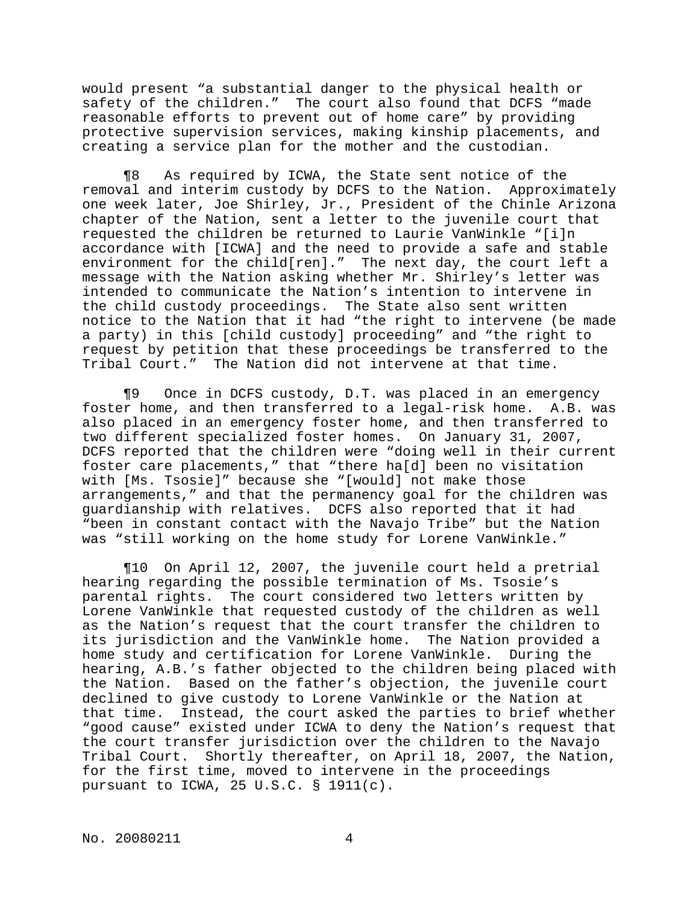would present "a substantial danger to the physical health or safety of the children." The court also found that DCFS "made reasonable efforts to prevent out of home care" by providing protective supervision services, making kinship placements, and creating a service plan for the mother and the custodian.

¶8 As required by ICWA, the State sent notice of the removal and interim custody by DCFS to the Nation. Approximately one week later, Joe Shirley, Jr., President of the Chinle Arizona chapter of the Nation, sent a letter to the juvenile court that requested the children be returned to Laurie VanWinkle "[i]n accordance with [ICWA] and the need to provide a safe and stable environment for the child[ren]." The next day, the court left a message with the Nation asking whether Mr. Shirley's letter was intended to communicate the Nation's intention to intervene in the child custody proceedings. The State also sent written notice to the Nation that it had "the right to intervene (be made a party) in this [child custody] proceeding" and "the right to request by petition that these proceedings be transferred to the Tribal Court." The Nation did not intervene at that time.

¶9 Once in DCFS custody, D.T. was placed in an emergency foster home, and then transferred to a legal-risk home. A.B. was also placed in an emergency foster home, and then transferred to two different specialized foster homes. On January 31, 2007, DCFS reported that the children were "doing well in their current foster care placements," that "there ha[d] been no visitation with [Ms. Tsosie]" because she "[would] not make those arrangements," and that the permanency goal for the children was guardianship with relatives. DCFS also reported that it had "been in constant contact with the Navajo Tribe" but the Nation was "still working on the home study for Lorene VanWinkle."

¶10 On April 12, 2007, the juvenile court held a pretrial hearing regarding the possible termination of Ms. Tsosie's parental rights. The court considered two letters written by Lorene VanWinkle that requested custody of the children as well as the Nation's request that the court transfer the children to its jurisdiction and the VanWinkle home. The Nation provided a home study and certification for Lorene VanWinkle. During the hearing, A.B.'s father objected to the children being placed with the Nation. Based on the father's objection, the juvenile court declined to give custody to Lorene VanWinkle or the Nation at that time. Instead, the court asked the parties to brief whether "good cause" existed under ICWA to deny the Nation's request that the court transfer jurisdiction over the children to the Navajo Tribal Court. Shortly thereafter, on April 18, 2007, the Nation, for the first time, moved to intervene in the proceedings pursuant to ICWA, 25 U.S.C. § 1911(c).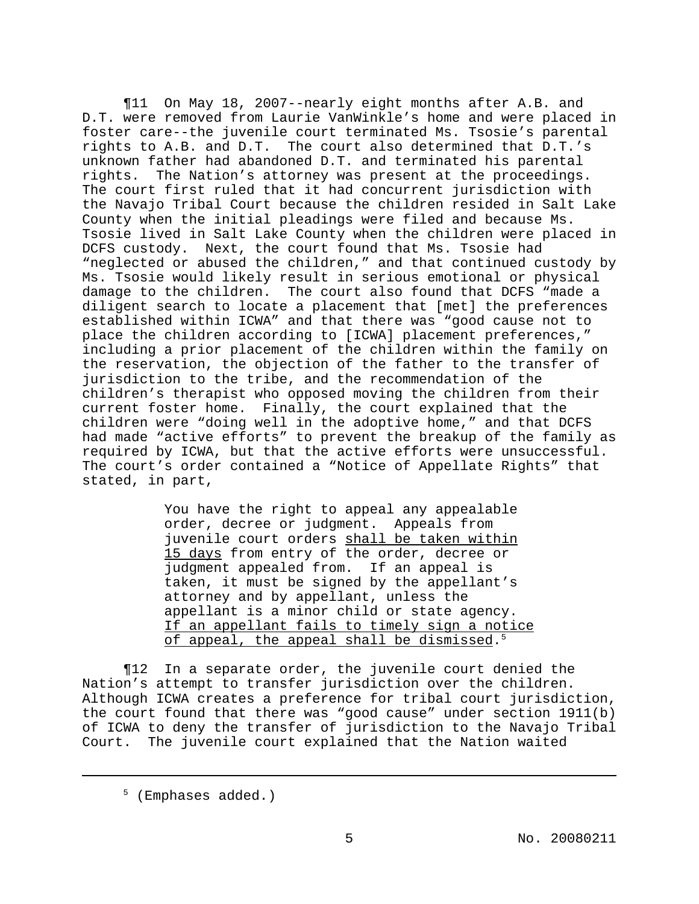¶11 On May 18, 2007--nearly eight months after A.B. and D.T. were removed from Laurie VanWinkle's home and were placed in foster care--the juvenile court terminated Ms. Tsosie's parental rights to A.B. and D.T. The court also determined that D.T.'s unknown father had abandoned D.T. and terminated his parental rights. The Nation's attorney was present at the proceedings. The court first ruled that it had concurrent jurisdiction with the Navajo Tribal Court because the children resided in Salt Lake County when the initial pleadings were filed and because Ms. Tsosie lived in Salt Lake County when the children were placed in DCFS custody. Next, the court found that Ms. Tsosie had "neglected or abused the children," and that continued custody by Ms. Tsosie would likely result in serious emotional or physical damage to the children. The court also found that DCFS "made a diligent search to locate a placement that [met] the preferences established within ICWA" and that there was "good cause not to place the children according to [ICWA] placement preferences," including a prior placement of the children within the family on the reservation, the objection of the father to the transfer of jurisdiction to the tribe, and the recommendation of the children's therapist who opposed moving the children from their current foster home. Finally, the court explained that the children were "doing well in the adoptive home," and that DCFS had made "active efforts" to prevent the breakup of the family as required by ICWA, but that the active efforts were unsuccessful. The court's order contained a "Notice of Appellate Rights" that stated, in part,

> You have the right to appeal any appealable order, decree or judgment. Appeals from juvenile court orders shall be taken within 15 days from entry of the order, decree or judgment appealed from. If an appeal is taken, it must be signed by the appellant's attorney and by appellant, unless the appellant is a minor child or state agency. If an appellant fails to timely sign a notice of appeal, the appeal shall be dismissed. 5

¶12 In a separate order, the juvenile court denied the Nation's attempt to transfer jurisdiction over the children. Although ICWA creates a preference for tribal court jurisdiction, the court found that there was "good cause" under section 1911(b) of ICWA to deny the transfer of jurisdiction to the Navajo Tribal Court. The juvenile court explained that the Nation waited

<sup>5</sup> (Emphases added.)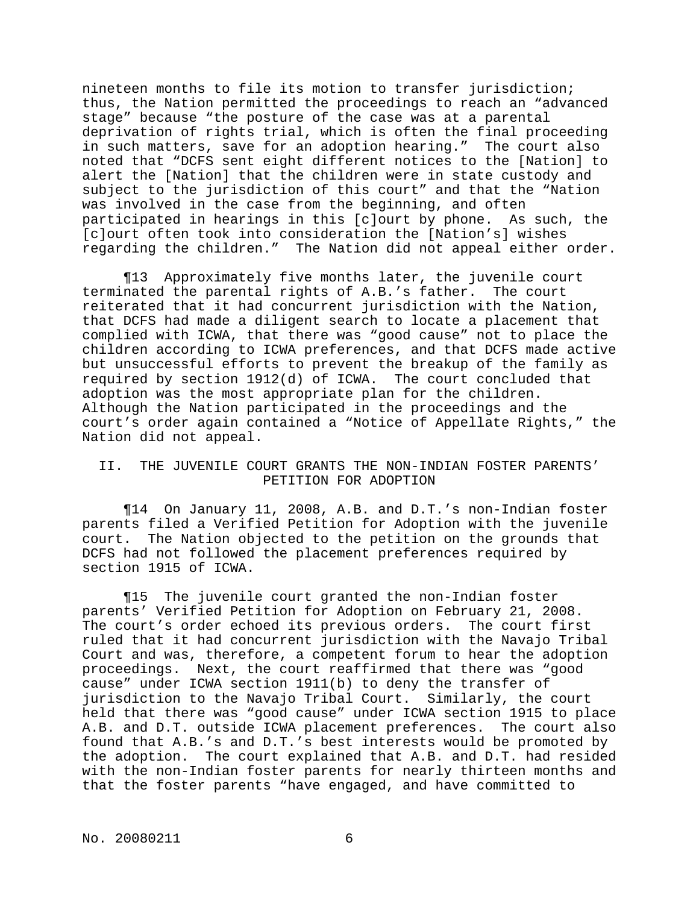nineteen months to file its motion to transfer jurisdiction; thus, the Nation permitted the proceedings to reach an "advanced stage" because "the posture of the case was at a parental deprivation of rights trial, which is often the final proceeding in such matters, save for an adoption hearing." The court also noted that "DCFS sent eight different notices to the [Nation] to alert the [Nation] that the children were in state custody and subject to the jurisdiction of this court" and that the "Nation was involved in the case from the beginning, and often participated in hearings in this [c]ourt by phone. As such, the [c]ourt often took into consideration the [Nation's] wishes regarding the children." The Nation did not appeal either order.

¶13 Approximately five months later, the juvenile court terminated the parental rights of A.B.'s father. The court reiterated that it had concurrent jurisdiction with the Nation, that DCFS had made a diligent search to locate a placement that complied with ICWA, that there was "good cause" not to place the children according to ICWA preferences, and that DCFS made active but unsuccessful efforts to prevent the breakup of the family as required by section 1912(d) of ICWA. The court concluded that adoption was the most appropriate plan for the children. Although the Nation participated in the proceedings and the court's order again contained a "Notice of Appellate Rights," the Nation did not appeal.

## II. THE JUVENILE COURT GRANTS THE NON-INDIAN FOSTER PARENTS' PETITION FOR ADOPTION

¶14 On January 11, 2008, A.B. and D.T.'s non-Indian foster parents filed a Verified Petition for Adoption with the juvenile court. The Nation objected to the petition on the grounds that DCFS had not followed the placement preferences required by section 1915 of ICWA.

¶15 The juvenile court granted the non-Indian foster parents' Verified Petition for Adoption on February 21, 2008. The court's order echoed its previous orders. The court first ruled that it had concurrent jurisdiction with the Navajo Tribal Court and was, therefore, a competent forum to hear the adoption proceedings. Next, the court reaffirmed that there was "good cause" under ICWA section 1911(b) to deny the transfer of jurisdiction to the Navajo Tribal Court. Similarly, the court held that there was "good cause" under ICWA section 1915 to place A.B. and D.T. outside ICWA placement preferences. The court also found that A.B.'s and D.T.'s best interests would be promoted by the adoption. The court explained that A.B. and D.T. had resided with the non-Indian foster parents for nearly thirteen months and that the foster parents "have engaged, and have committed to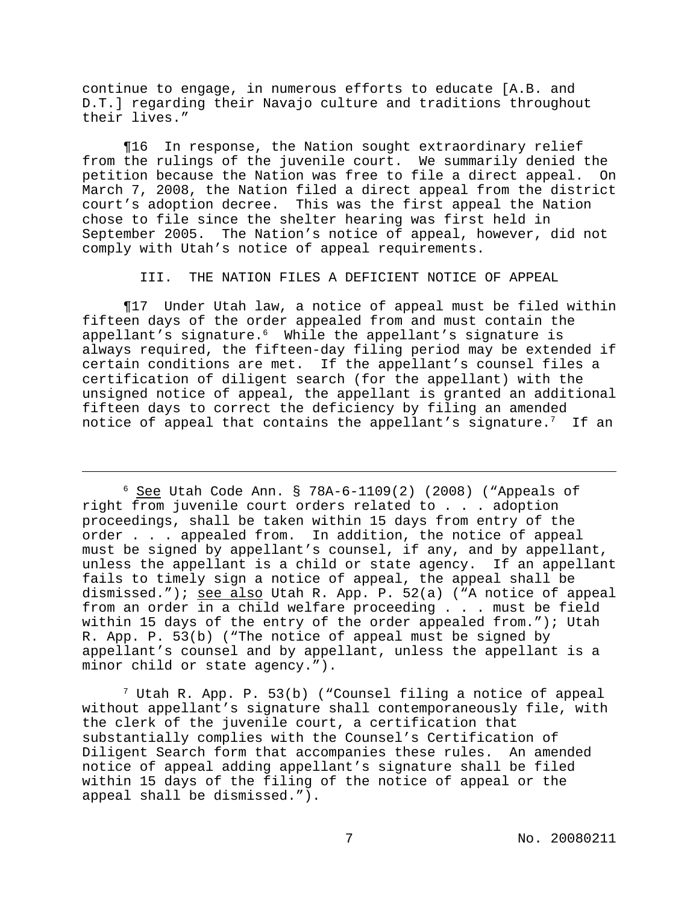continue to engage, in numerous efforts to educate [A.B. and D.T.] regarding their Navajo culture and traditions throughout their lives."

¶16 In response, the Nation sought extraordinary relief from the rulings of the juvenile court. We summarily denied the petition because the Nation was free to file a direct appeal. On March 7, 2008, the Nation filed a direct appeal from the district court's adoption decree. This was the first appeal the Nation chose to file since the shelter hearing was first held in September 2005. The Nation's notice of appeal, however, did not comply with Utah's notice of appeal requirements.

III. THE NATION FILES A DEFICIENT NOTICE OF APPEAL

¶17 Under Utah law, a notice of appeal must be filed within fifteen days of the order appealed from and must contain the appellant's signature. $6\,$  While the appellant's signature is always required, the fifteen-day filing period may be extended if certain conditions are met. If the appellant's counsel files a certification of diligent search (for the appellant) with the unsigned notice of appeal, the appellant is granted an additional fifteen days to correct the deficiency by filing an amended notice of appeal that contains the appellant's signature.<sup>7</sup> If an

 $6$  See Utah Code Ann. § 78A-6-1109(2) (2008) ("Appeals of right from juvenile court orders related to . . . adoption proceedings, shall be taken within 15 days from entry of the order . . . appealed from. In addition, the notice of appeal must be signed by appellant's counsel, if any, and by appellant, unless the appellant is a child or state agency. If an appellant fails to timely sign a notice of appeal, the appeal shall be dismissed."); see also Utah R. App. P. 52(a) ("A notice of appeal from an order in a child welfare proceeding . . . must be field within 15 days of the entry of the order appealed from."); Utah R. App. P. 53(b) ("The notice of appeal must be signed by appellant's counsel and by appellant, unless the appellant is a minor child or state agency.").

 $7$  Utah R. App. P. 53(b) ("Counsel filing a notice of appeal without appellant's signature shall contemporaneously file, with the clerk of the juvenile court, a certification that substantially complies with the Counsel's Certification of Diligent Search form that accompanies these rules. An amended notice of appeal adding appellant's signature shall be filed within 15 days of the filing of the notice of appeal or the appeal shall be dismissed.").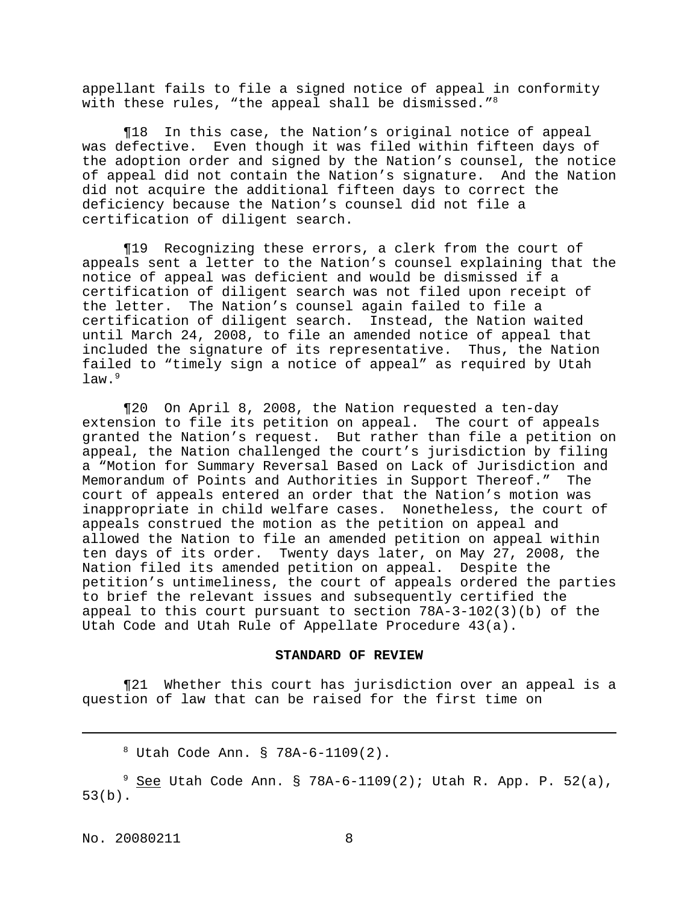appellant fails to file a signed notice of appeal in conformity with these rules, "the appeal shall be dismissed."<sup>8</sup>

¶18 In this case, the Nation's original notice of appeal was defective. Even though it was filed within fifteen days of the adoption order and signed by the Nation's counsel, the notice of appeal did not contain the Nation's signature. And the Nation did not acquire the additional fifteen days to correct the deficiency because the Nation's counsel did not file a certification of diligent search.

¶19 Recognizing these errors, a clerk from the court of appeals sent a letter to the Nation's counsel explaining that the notice of appeal was deficient and would be dismissed if a certification of diligent search was not filed upon receipt of the letter. The Nation's counsel again failed to file a certification of diligent search. Instead, the Nation waited until March 24, 2008, to file an amended notice of appeal that included the signature of its representative. Thus, the Nation failed to "timely sign a notice of appeal" as required by Utah  $law.<sup>9</sup>$ 

¶20 On April 8, 2008, the Nation requested a ten-day extension to file its petition on appeal. The court of appeals granted the Nation's request. But rather than file a petition on appeal, the Nation challenged the court's jurisdiction by filing a "Motion for Summary Reversal Based on Lack of Jurisdiction and Memorandum of Points and Authorities in Support Thereof." The court of appeals entered an order that the Nation's motion was inappropriate in child welfare cases. Nonetheless, the court of appeals construed the motion as the petition on appeal and allowed the Nation to file an amended petition on appeal within ten days of its order. Twenty days later, on May 27, 2008, the Nation filed its amended petition on appeal. Despite the petition's untimeliness, the court of appeals ordered the parties to brief the relevant issues and subsequently certified the appeal to this court pursuant to section  $78A-3-102(3)(b)$  of the Utah Code and Utah Rule of Appellate Procedure 43(a).

### **STANDARD OF REVIEW**

¶21 Whether this court has jurisdiction over an appeal is a question of law that can be raised for the first time on

<sup>8</sup> Utah Code Ann. § 78A-6-1109(2).

 $9$  See Utah Code Ann. § 78A-6-1109(2); Utah R. App. P. 52(a), 53(b).

No. 20080211 8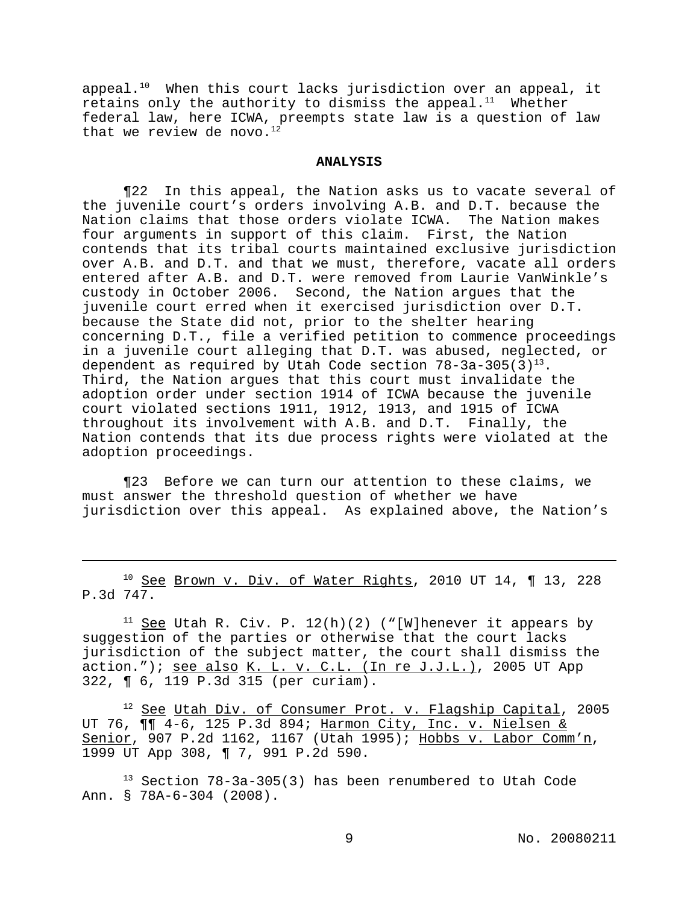appeal.<sup>10</sup> When this court lacks jurisdiction over an appeal, it retains only the authority to dismiss the appeal. $11$  Whether federal law, here ICWA, preempts state law is a question of law that we review de novo. $12$ 

### **ANALYSIS**

¶22 In this appeal, the Nation asks us to vacate several of the juvenile court's orders involving A.B. and D.T. because the Nation claims that those orders violate ICWA. The Nation makes four arguments in support of this claim. First, the Nation contends that its tribal courts maintained exclusive jurisdiction over A.B. and D.T. and that we must, therefore, vacate all orders entered after A.B. and D.T. were removed from Laurie VanWinkle's custody in October 2006. Second, the Nation argues that the juvenile court erred when it exercised jurisdiction over D.T. because the State did not, prior to the shelter hearing concerning D.T., file a verified petition to commence proceedings in a juvenile court alleging that D.T. was abused, neglected, or dependent as required by Utah Code section  $78-3a-305(3)^{13}$ . Third, the Nation argues that this court must invalidate the adoption order under section 1914 of ICWA because the juvenile court violated sections 1911, 1912, 1913, and 1915 of ICWA throughout its involvement with A.B. and D.T. Finally, the Nation contends that its due process rights were violated at the adoption proceedings.

¶23 Before we can turn our attention to these claims, we must answer the threshold question of whether we have jurisdiction over this appeal. As explained above, the Nation's

 $10$  See Brown v. Div. of Water Rights, 2010 UT 14,  $\P$  13, 228 P.3d 747.

<sup>11</sup> See Utah R. Civ. P.  $12(h)(2)$  ("[W]henever it appears by suggestion of the parties or otherwise that the court lacks jurisdiction of the subject matter, the court shall dismiss the action."); see also K. L. v. C.L. (In re J.J.L.), 2005 UT App 322, ¶ 6, 119 P.3d 315 (per curiam).

<sup>12</sup> See Utah Div. of Consumer Prot. v. Flagship Capital, 2005 UT 76,  $\P\P$  4-6, 125 P.3d 894; Harmon City, Inc. v. Nielsen & Senior, 907 P.2d 1162, 1167 (Utah 1995); Hobbs v. Labor Comm'n, 1999 UT App 308, ¶ 7, 991 P.2d 590.

 $13$  Section 78-3a-305(3) has been renumbered to Utah Code Ann. § 78A-6-304 (2008).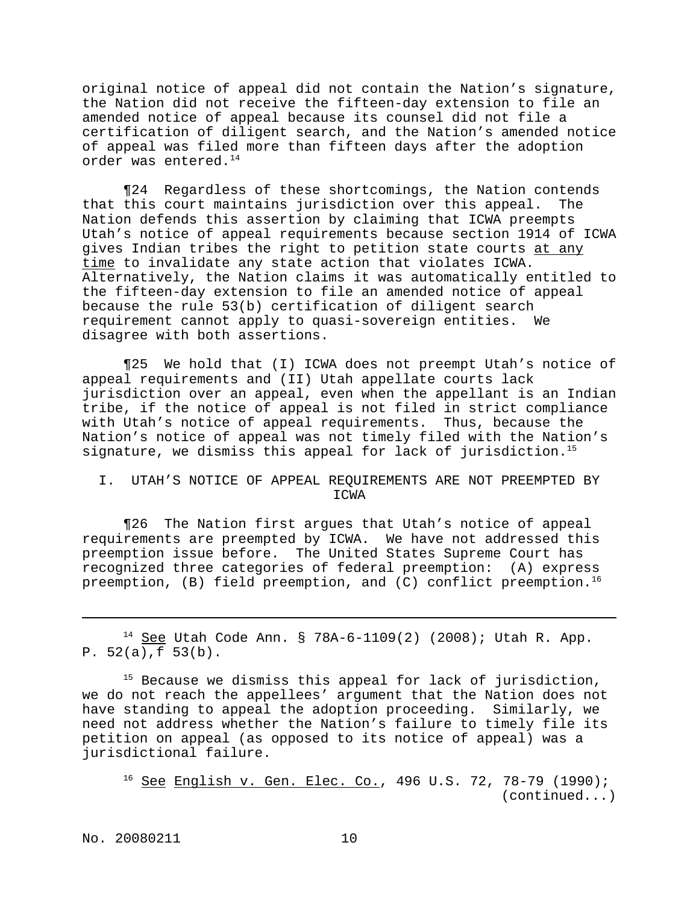original notice of appeal did not contain the Nation's signature, the Nation did not receive the fifteen-day extension to file an amended notice of appeal because its counsel did not file a certification of diligent search, and the Nation's amended notice of appeal was filed more than fifteen days after the adoption order was entered.<sup>14</sup>

¶24 Regardless of these shortcomings, the Nation contends that this court maintains jurisdiction over this appeal. The Nation defends this assertion by claiming that ICWA preempts Utah's notice of appeal requirements because section 1914 of ICWA gives Indian tribes the right to petition state courts at any time to invalidate any state action that violates ICWA. Alternatively, the Nation claims it was automatically entitled to the fifteen-day extension to file an amended notice of appeal because the rule 53(b) certification of diligent search requirement cannot apply to quasi-sovereign entities. We disagree with both assertions.

¶25 We hold that (I) ICWA does not preempt Utah's notice of appeal requirements and (II) Utah appellate courts lack jurisdiction over an appeal, even when the appellant is an Indian tribe, if the notice of appeal is not filed in strict compliance with Utah's notice of appeal requirements. Thus, because the Nation's notice of appeal was not timely filed with the Nation's signature, we dismiss this appeal for lack of jurisdiction.<sup>15</sup>

### I. UTAH'S NOTICE OF APPEAL REQUIREMENTS ARE NOT PREEMPTED BY ICWA

¶26 The Nation first argues that Utah's notice of appeal requirements are preempted by ICWA. We have not addressed this preemption issue before. The United States Supreme Court has recognized three categories of federal preemption: (A) express preemption,  $(B)$  field preemption, and  $(C)$  conflict preemption.<sup>16</sup>

<sup>14</sup> See Utah Code Ann. § 78A-6-1109(2) (2008); Utah R. App. P. 52(a),f 53(b).

 $15$  Because we dismiss this appeal for lack of jurisdiction, we do not reach the appellees' argument that the Nation does not have standing to appeal the adoption proceeding. Similarly, we need not address whether the Nation's failure to timely file its petition on appeal (as opposed to its notice of appeal) was a jurisdictional failure.

 $16$  See English v. Gen. Elec. Co., 496 U.S. 72, 78-79 (1990); (continued...)

No. 20080211 10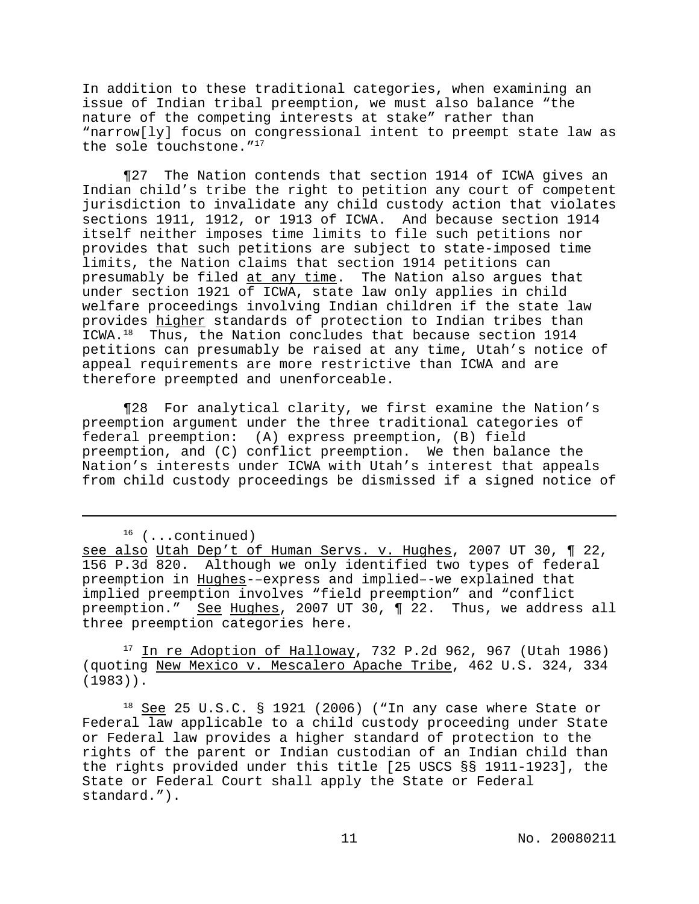In addition to these traditional categories, when examining an issue of Indian tribal preemption, we must also balance "the nature of the competing interests at stake" rather than "narrow[ly] focus on congressional intent to preempt state law as the sole touchstone."<sup>17</sup>

¶27 The Nation contends that section 1914 of ICWA gives an Indian child's tribe the right to petition any court of competent jurisdiction to invalidate any child custody action that violates sections 1911, 1912, or 1913 of ICWA. And because section 1914 itself neither imposes time limits to file such petitions nor provides that such petitions are subject to state-imposed time limits, the Nation claims that section 1914 petitions can presumably be filed at any time. The Nation also argues that under section 1921 of ICWA, state law only applies in child welfare proceedings involving Indian children if the state law provides higher standards of protection to Indian tribes than ICWA.<sup>18</sup> Thus, the Nation concludes that because section 1914 petitions can presumably be raised at any time, Utah's notice of appeal requirements are more restrictive than ICWA and are therefore preempted and unenforceable.

¶28 For analytical clarity, we first examine the Nation's preemption argument under the three traditional categories of federal preemption: (A) express preemption, (B) field preemption, and (C) conflict preemption. We then balance the Nation's interests under ICWA with Utah's interest that appeals from child custody proceedings be dismissed if a signed notice of

 $17$  In re Adoption of Halloway, 732 P.2d 962, 967 (Utah 1986) (quoting New Mexico v. Mescalero Apache Tribe, 462 U.S. 324, 334 (1983)).

 $18$  See 25 U.S.C. § 1921 (2006) ("In any case where State or Federal law applicable to a child custody proceeding under State or Federal law provides a higher standard of protection to the rights of the parent or Indian custodian of an Indian child than the rights provided under this title [25 USCS §§ 1911-1923], the State or Federal Court shall apply the State or Federal standard.").

 $16$  (...continued)

see also Utah Dep't of Human Servs. v. Hughes, 2007 UT 30, ¶ 22, 156 P.3d 820. Although we only identified two types of federal preemption in Hughes-–express and implied–-we explained that implied preemption involves "field preemption" and "conflict preemption." See Hughes, 2007 UT 30, 1 22. Thus, we address all three preemption categories here.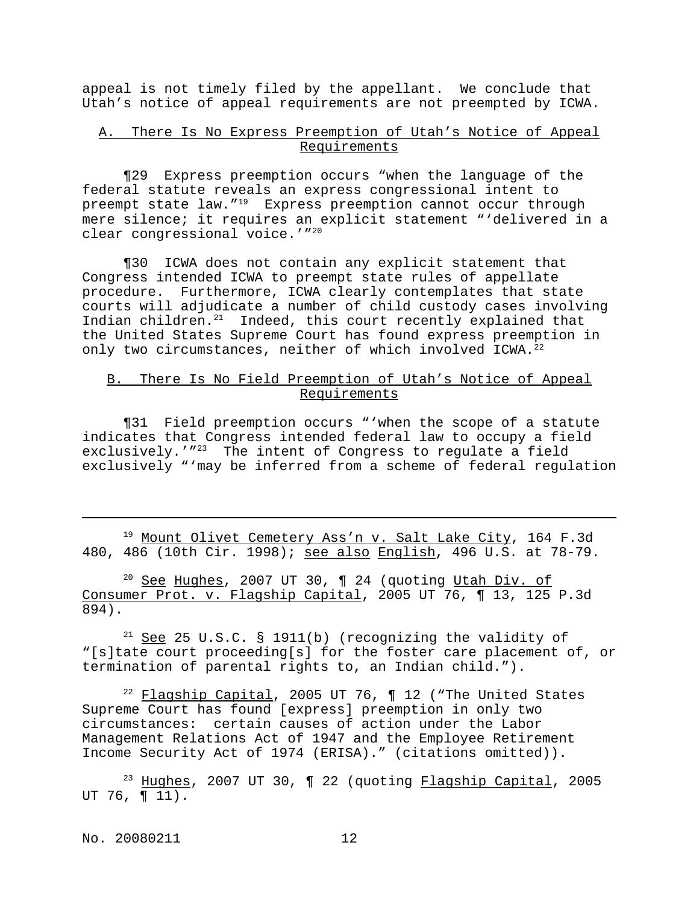appeal is not timely filed by the appellant. We conclude that Utah's notice of appeal requirements are not preempted by ICWA.

# A. There Is No Express Preemption of Utah's Notice of Appeal Requirements

¶29 Express preemption occurs "when the language of the federal statute reveals an express congressional intent to preempt state law."<sup>19</sup> Express preemption cannot occur through mere silence; it requires an explicit statement "'delivered in a clear congressional voice.'"<sup>20</sup>

¶30 ICWA does not contain any explicit statement that Congress intended ICWA to preempt state rules of appellate procedure. Furthermore, ICWA clearly contemplates that state courts will adjudicate a number of child custody cases involving Indian children.<sup>21</sup> Indeed, this court recently explained that the United States Supreme Court has found express preemption in only two circumstances, neither of which involved ICWA.<sup>22</sup>

## B. There Is No Field Preemption of Utah's Notice of Appeal Requirements

¶31 Field preemption occurs "'when the scope of a statute indicates that Congress intended federal law to occupy a field exclusively.'"<sup>23</sup> The intent of Congress to regulate a field exclusively "'may be inferred from a scheme of federal regulation

<sup>19</sup> Mount Olivet Cemetery Ass'n v. Salt Lake City, 164 F.3d 480, 486 (10th Cir. 1998); see also English, 496 U.S. at 78-79.

 $20$  See Hughes, 2007 UT 30, ¶ 24 (quoting Utah Div. of Consumer Prot. v. Flagship Capital, 2005 UT 76, ¶ 13, 125 P.3d 894).

 $21$  See 25 U.S.C. § 1911(b) (recognizing the validity of "[s]tate court proceeding[s] for the foster care placement of, or termination of parental rights to, an Indian child.").

 $22$  Flagship Capital, 2005 UT 76, ¶ 12 ("The United States Supreme Court has found [express] preemption in only two circumstances: certain causes of action under the Labor Management Relations Act of 1947 and the Employee Retirement Income Security Act of 1974 (ERISA)." (citations omitted)).

 $23$  Hughes, 2007 UT 30, 1 22 (quoting Flagship Capital, 2005 UT 76, ¶ 11).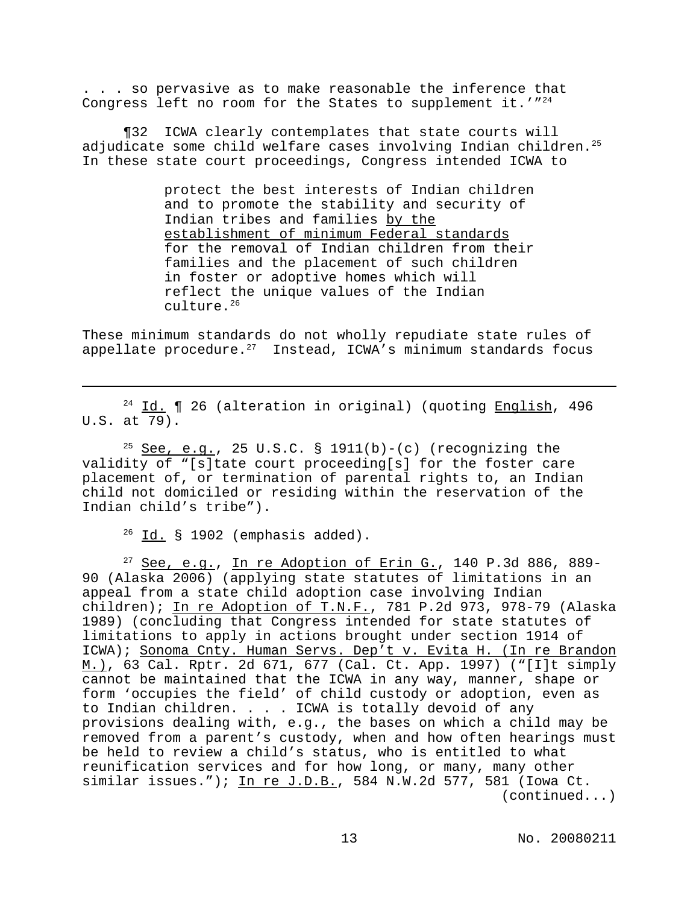. . . so pervasive as to make reasonable the inference that Congress left no room for the States to supplement it.' $n^{24}$ 

¶32 ICWA clearly contemplates that state courts will adjudicate some child welfare cases involving Indian children.<sup>25</sup> In these state court proceedings, Congress intended ICWA to

> protect the best interests of Indian children and to promote the stability and security of Indian tribes and families by the establishment of minimum Federal standards for the removal of Indian children from their families and the placement of such children in foster or adoptive homes which will reflect the unique values of the Indian culture.<sup>26</sup>

These minimum standards do not wholly repudiate state rules of appellate procedure. $27$  Instead, ICWA's minimum standards focus

<sup>24</sup> Id. **[** 26 (alteration in original) (quoting **English**, 496 U.S. at 79).

 $25$  See, e.g., 25 U.S.C. § 1911(b)-(c) (recognizing the validity of "[s]tate court proceeding[s] for the foster care placement of, or termination of parental rights to, an Indian child not domiciled or residing within the reservation of the Indian child's tribe").

 $26$  Id. § 1902 (emphasis added).

 $27$  See, e.g., In re Adoption of Erin G., 140 P.3d 886, 889-90 (Alaska 2006) (applying state statutes of limitations in an appeal from a state child adoption case involving Indian children); In re Adoption of T.N.F., 781 P.2d 973, 978-79 (Alaska 1989) (concluding that Congress intended for state statutes of limitations to apply in actions brought under section 1914 of ICWA); Sonoma Cnty. Human Servs. Dep't v. Evita H. (In re Brandon M.), 63 Cal. Rptr. 2d 671, 677 (Cal. Ct. App. 1997) ("[I]t simply cannot be maintained that the ICWA in any way, manner, shape or form 'occupies the field' of child custody or adoption, even as to Indian children. . . . ICWA is totally devoid of any provisions dealing with, e.g., the bases on which a child may be removed from a parent's custody, when and how often hearings must be held to review a child's status, who is entitled to what reunification services and for how long, or many, many other similar issues."); In re J.D.B., 584 N.W.2d 577, 581 (Iowa Ct. (continued...)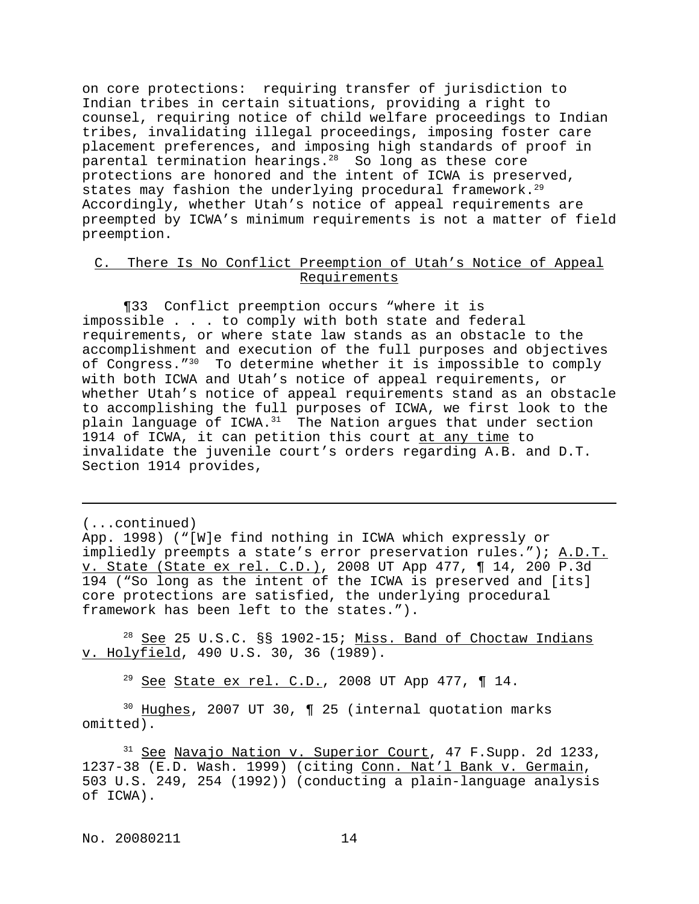on core protections: requiring transfer of jurisdiction to Indian tribes in certain situations, providing a right to counsel, requiring notice of child welfare proceedings to Indian tribes, invalidating illegal proceedings, imposing foster care placement preferences, and imposing high standards of proof in parental termination hearings. $28$  So long as these core protections are honored and the intent of ICWA is preserved, states may fashion the underlying procedural framework.<sup>29</sup> Accordingly, whether Utah's notice of appeal requirements are preempted by ICWA's minimum requirements is not a matter of field preemption.

# C. There Is No Conflict Preemption of Utah's Notice of Appeal Requirements

¶33 Conflict preemption occurs "where it is impossible . . . to comply with both state and federal requirements, or where state law stands as an obstacle to the accomplishment and execution of the full purposes and objectives of Congress."<sup>30</sup> To determine whether it is impossible to comply with both ICWA and Utah's notice of appeal requirements, or whether Utah's notice of appeal requirements stand as an obstacle to accomplishing the full purposes of ICWA, we first look to the plain language of ICWA.<sup>31</sup> The Nation argues that under section 1914 of ICWA, it can petition this court at any time to invalidate the juvenile court's orders regarding A.B. and D.T. Section 1914 provides,

(...continued)

App. 1998) ("[W]e find nothing in ICWA which expressly or impliedly preempts a state's error preservation rules."); A.D.T. v. State (State ex rel. C.D.), 2008 UT App 477, ¶ 14, 200 P.3d 194 ("So long as the intent of the ICWA is preserved and [its] core protections are satisfied, the underlying procedural framework has been left to the states.").

<sup>28</sup> See 25 U.S.C. §§ 1902-15; Miss. Band of Choctaw Indians v. Holyfield, 490 U.S. 30, 36 (1989).

<sup>29</sup> See State ex rel. C.D., 2008 UT App 477,  $\P$  14.

<sup>30</sup> Hughes, 2007 UT 30, 1 25 (internal quotation marks omitted).

<sup>31</sup> See Navajo Nation v. Superior Court, 47 F. Supp. 2d 1233, 1237-38 (E.D. Wash. 1999) (citing Conn. Nat'l Bank v. Germain, 503 U.S. 249, 254 (1992)) (conducting a plain-language analysis of ICWA).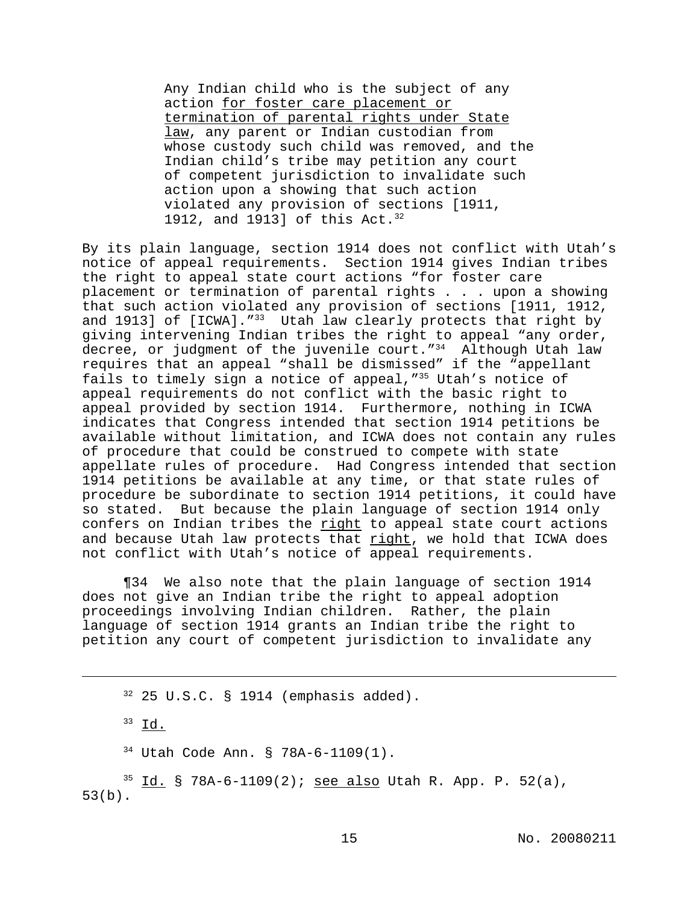Any Indian child who is the subject of any action for foster care placement or termination of parental rights under State law, any parent or Indian custodian from whose custody such child was removed, and the Indian child's tribe may petition any court of competent jurisdiction to invalidate such action upon a showing that such action violated any provision of sections [1911, 1912, and 1913] of this Act.<sup>32</sup>

By its plain language, section 1914 does not conflict with Utah's notice of appeal requirements. Section 1914 gives Indian tribes the right to appeal state court actions "for foster care placement or termination of parental rights . . . upon a showing that such action violated any provision of sections [1911, 1912, and 1913] of [ICWA]."<sup>33</sup> Utah law clearly protects that right by giving intervening Indian tribes the right to appeal "any order, decree, or judgment of the juvenile court."<sup>34</sup> Although Utah law requires that an appeal "shall be dismissed" if the "appellant fails to timely sign a notice of appeal,"<sup>35</sup> Utah's notice of appeal requirements do not conflict with the basic right to appeal provided by section 1914. Furthermore, nothing in ICWA indicates that Congress intended that section 1914 petitions be available without limitation, and ICWA does not contain any rules of procedure that could be construed to compete with state appellate rules of procedure. Had Congress intended that section 1914 petitions be available at any time, or that state rules of procedure be subordinate to section 1914 petitions, it could have so stated. But because the plain language of section 1914 only confers on Indian tribes the right to appeal state court actions and because Utah law protects that right, we hold that ICWA does not conflict with Utah's notice of appeal requirements.

¶34 We also note that the plain language of section 1914 does not give an Indian tribe the right to appeal adoption proceedings involving Indian children. Rather, the plain language of section 1914 grants an Indian tribe the right to petition any court of competent jurisdiction to invalidate any

 $32$  25 U.S.C. § 1914 (emphasis added).

 $33$  Id.

<sup>34</sup> Utah Code Ann. § 78A-6-1109(1).

 $3^5$  <u>Id.</u> § 78A-6-1109(2); <u>see also</u> Utah R. App. P. 52(a), 53(b).

15 No. 20080211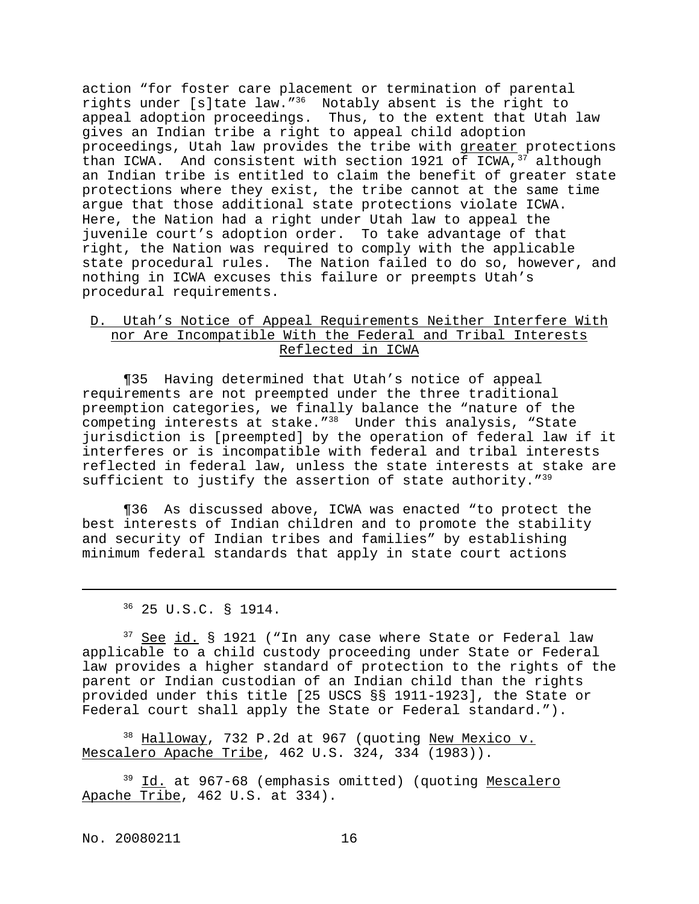action "for foster care placement or termination of parental rights under [s]tate law."<sup>36</sup> Notably absent is the right to appeal adoption proceedings. Thus, to the extent that Utah law gives an Indian tribe a right to appeal child adoption proceedings, Utah law provides the tribe with greater protections than ICWA. And consistent with section 1921 of ICWA,  $37$  although an Indian tribe is entitled to claim the benefit of greater state protections where they exist, the tribe cannot at the same time argue that those additional state protections violate ICWA. Here, the Nation had a right under Utah law to appeal the juvenile court's adoption order. To take advantage of that right, the Nation was required to comply with the applicable state procedural rules. The Nation failed to do so, however, and nothing in ICWA excuses this failure or preempts Utah's procedural requirements.

## D. Utah's Notice of Appeal Requirements Neither Interfere With nor Are Incompatible With the Federal and Tribal Interests Reflected in ICWA

¶35 Having determined that Utah's notice of appeal requirements are not preempted under the three traditional preemption categories, we finally balance the "nature of the competing interests at stake."<sup>38</sup> Under this analysis, "State jurisdiction is [preempted] by the operation of federal law if it interferes or is incompatible with federal and tribal interests reflected in federal law, unless the state interests at stake are sufficient to justify the assertion of state authority."<sup>39</sup>

¶36 As discussed above, ICWA was enacted "to protect the best interests of Indian children and to promote the stability and security of Indian tribes and families" by establishing minimum federal standards that apply in state court actions

<sup>37</sup> See id. § 1921 ("In any case where State or Federal law applicable to a child custody proceeding under State or Federal law provides a higher standard of protection to the rights of the parent or Indian custodian of an Indian child than the rights provided under this title [25 USCS §§ 1911-1923], the State or Federal court shall apply the State or Federal standard.").

<sup>38</sup> Halloway, 732 P.2d at 967 (quoting New Mexico v. Mescalero Apache Tribe, 462 U.S. 324, 334 (1983)).

<sup>39</sup> Id. at 967-68 (emphasis omitted) (quoting Mescalero Apache Tribe, 462 U.S. at 334).

No. 20080211 16

<sup>36</sup> 25 U.S.C. § 1914.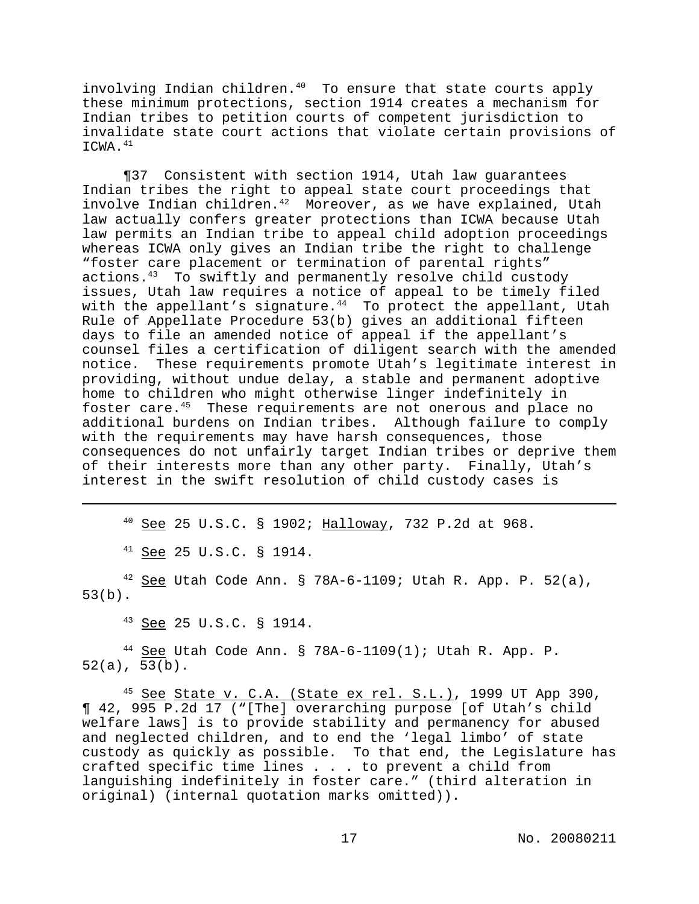involving Indian children. $40$  To ensure that state courts apply these minimum protections, section 1914 creates a mechanism for Indian tribes to petition courts of competent jurisdiction to invalidate state court actions that violate certain provisions of  $ICWA.$ <sup>41</sup>

¶37 Consistent with section 1914, Utah law guarantees Indian tribes the right to appeal state court proceedings that involve Indian children.<sup>42</sup> Moreover, as we have explained, Utah law actually confers greater protections than ICWA because Utah law permits an Indian tribe to appeal child adoption proceedings whereas ICWA only gives an Indian tribe the right to challenge "foster care placement or termination of parental rights" actions.<sup>43</sup> To swiftly and permanently resolve child custody issues, Utah law requires a notice of appeal to be timely filed with the appellant's signature. $44$  To protect the appellant, Utah Rule of Appellate Procedure 53(b) gives an additional fifteen days to file an amended notice of appeal if the appellant's counsel files a certification of diligent search with the amended notice. These requirements promote Utah's legitimate interest in providing, without undue delay, a stable and permanent adoptive home to children who might otherwise linger indefinitely in foster care.<sup>45</sup> These requirements are not onerous and place no additional burdens on Indian tribes. Although failure to comply with the requirements may have harsh consequences, those consequences do not unfairly target Indian tribes or deprive them of their interests more than any other party. Finally, Utah's interest in the swift resolution of child custody cases is

<sup>40</sup> See 25 U.S.C. § 1902; Halloway, 732 P.2d at 968.

 $^{41}$  See 25 U.S.C. § 1914.

 $42$  See Utah Code Ann. § 78A-6-1109; Utah R. App. P. 52(a), 53(b).

<sup>43</sup> See 25 U.S.C. § 1914.

 $44$  See Utah Code Ann. § 78A-6-1109(1); Utah R. App. P. 52(a), 53(b).

 $45$  See State v. C.A. (State ex rel. S.L.), 1999 UT App 390, ¶ 42, 995 P.2d 17 ("[The] overarching purpose [of Utah's child welfare laws] is to provide stability and permanency for abused and neglected children, and to end the 'legal limbo' of state custody as quickly as possible. To that end, the Legislature has crafted specific time lines . . . to prevent a child from languishing indefinitely in foster care." (third alteration in original) (internal quotation marks omitted)).

17 No. 20080211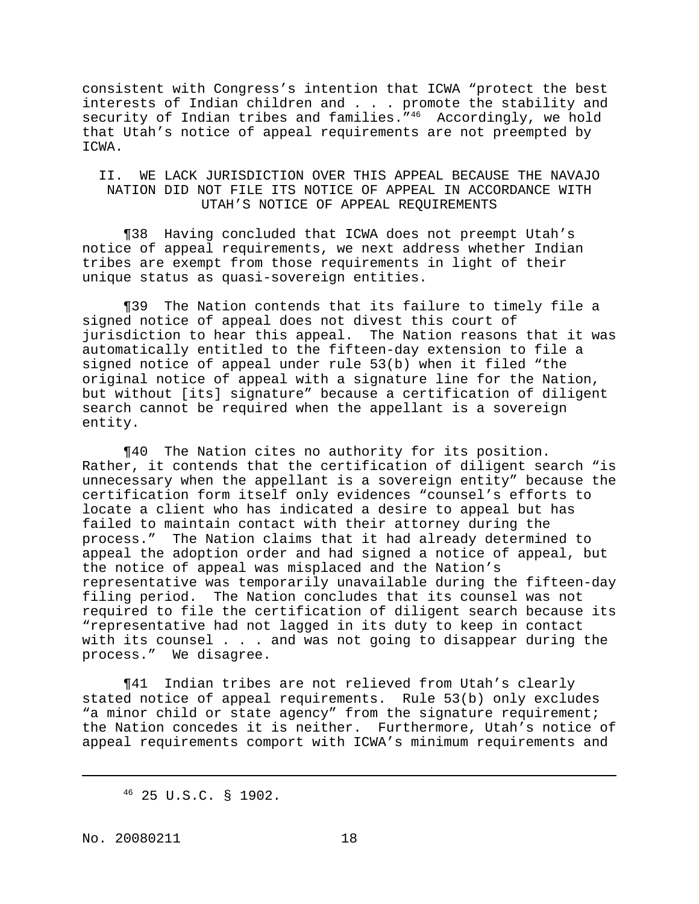consistent with Congress's intention that ICWA "protect the best interests of Indian children and . . . promote the stability and security of Indian tribes and families."<sup>46</sup> Accordingly, we hold that Utah's notice of appeal requirements are not preempted by ICWA.

## II. WE LACK JURISDICTION OVER THIS APPEAL BECAUSE THE NAVAJO NATION DID NOT FILE ITS NOTICE OF APPEAL IN ACCORDANCE WITH UTAH'S NOTICE OF APPEAL REQUIREMENTS

¶38 Having concluded that ICWA does not preempt Utah's notice of appeal requirements, we next address whether Indian tribes are exempt from those requirements in light of their unique status as quasi-sovereign entities.

¶39 The Nation contends that its failure to timely file a signed notice of appeal does not divest this court of jurisdiction to hear this appeal. The Nation reasons that it was automatically entitled to the fifteen-day extension to file a signed notice of appeal under rule 53(b) when it filed "the original notice of appeal with a signature line for the Nation, but without [its] signature" because a certification of diligent search cannot be required when the appellant is a sovereign entity.

¶40 The Nation cites no authority for its position. Rather, it contends that the certification of diligent search "is unnecessary when the appellant is a sovereign entity" because the certification form itself only evidences "counsel's efforts to locate a client who has indicated a desire to appeal but has failed to maintain contact with their attorney during the process." The Nation claims that it had already determined to appeal the adoption order and had signed a notice of appeal, but the notice of appeal was misplaced and the Nation's representative was temporarily unavailable during the fifteen-day filing period. The Nation concludes that its counsel was not required to file the certification of diligent search because its "representative had not lagged in its duty to keep in contact with its counsel . . . and was not going to disappear during the process." We disagree.

¶41 Indian tribes are not relieved from Utah's clearly stated notice of appeal requirements. Rule 53(b) only excludes "a minor child or state agency" from the signature requirement; the Nation concedes it is neither. Furthermore, Utah's notice of appeal requirements comport with ICWA's minimum requirements and

<sup>46</sup> 25 U.S.C. § 1902.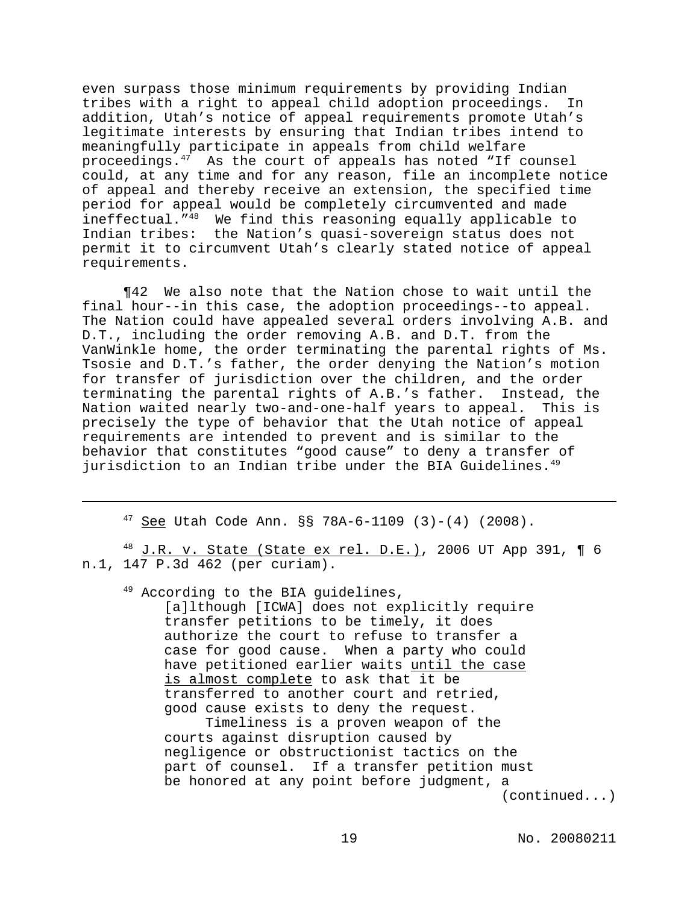even surpass those minimum requirements by providing Indian tribes with a right to appeal child adoption proceedings. In addition, Utah's notice of appeal requirements promote Utah's legitimate interests by ensuring that Indian tribes intend to meaningfully participate in appeals from child welfare proceedings.<sup>47</sup> As the court of appeals has noted "If counsel could, at any time and for any reason, file an incomplete notice of appeal and thereby receive an extension, the specified time period for appeal would be completely circumvented and made ineffectual."<sup>48</sup> We find this reasoning equally applicable to Indian tribes: the Nation's quasi-sovereign status does not permit it to circumvent Utah's clearly stated notice of appeal requirements.

¶42 We also note that the Nation chose to wait until the final hour--in this case, the adoption proceedings--to appeal. The Nation could have appealed several orders involving A.B. and D.T., including the order removing A.B. and D.T. from the VanWinkle home, the order terminating the parental rights of Ms. Tsosie and D.T.'s father, the order denying the Nation's motion for transfer of jurisdiction over the children, and the order terminating the parental rights of A.B.'s father. Instead, the Nation waited nearly two-and-one-half years to appeal. This is precisely the type of behavior that the Utah notice of appeal requirements are intended to prevent and is similar to the behavior that constitutes "good cause" to deny a transfer of jurisdiction to an Indian tribe under the BIA Guidelines.<sup>49</sup>

 $47$  See Utah Code Ann. §§ 78A-6-1109 (3)-(4) (2008).

 $^{48}$  J.R. v. State (State ex rel. D.E.), 2006 UT App 391, ¶ 6 n.1, 147 P.3d 462 (per curiam).

<sup>49</sup> According to the BIA guidelines,

[a]lthough [ICWA] does not explicitly require transfer petitions to be timely, it does authorize the court to refuse to transfer a case for good cause. When a party who could have petitioned earlier waits until the case is almost complete to ask that it be transferred to another court and retried, good cause exists to deny the request. Timeliness is a proven weapon of the

courts against disruption caused by negligence or obstructionist tactics on the part of counsel. If a transfer petition must be honored at any point before judgment, a (continued...)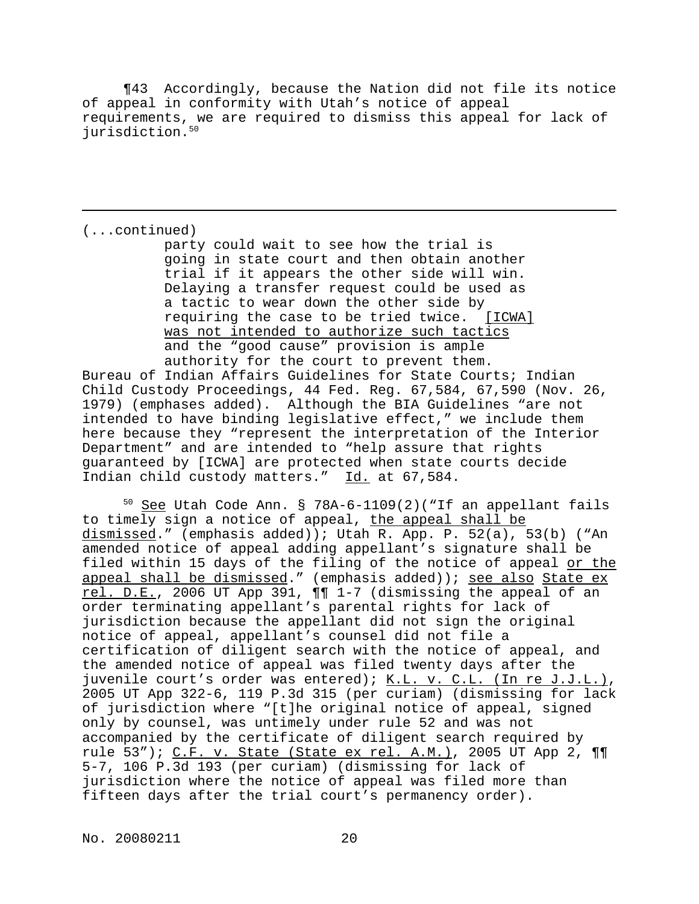¶43 Accordingly, because the Nation did not file its notice of appeal in conformity with Utah's notice of appeal requirements, we are required to dismiss this appeal for lack of jurisdiction.<sup>50</sup>

(...continued)

party could wait to see how the trial is going in state court and then obtain another trial if it appears the other side will win. Delaying a transfer request could be used as a tactic to wear down the other side by requiring the case to be tried twice. [ICWA] was not intended to authorize such tactics and the "good cause" provision is ample authority for the court to prevent them.

Bureau of Indian Affairs Guidelines for State Courts; Indian Child Custody Proceedings, 44 Fed. Reg. 67,584, 67,590 (Nov. 26, 1979) (emphases added). Although the BIA Guidelines "are not intended to have binding legislative effect," we include them here because they "represent the interpretation of the Interior Department" and are intended to "help assure that rights guaranteed by [ICWA] are protected when state courts decide Indian child custody matters." Id. at 67,584.

 $50$  See Utah Code Ann. § 78A-6-1109(2)("If an appellant fails to timely sign a notice of appeal, the appeal shall be dismissed." (emphasis added)); Utah R. App. P. 52(a), 53(b) ("An amended notice of appeal adding appellant's signature shall be filed within 15 days of the filing of the notice of appeal or the appeal shall be dismissed." (emphasis added)); see also State ex rel. D.E., 2006 UT App 391, ¶¶ 1-7 (dismissing the appeal of an order terminating appellant's parental rights for lack of jurisdiction because the appellant did not sign the original notice of appeal, appellant's counsel did not file a certification of diligent search with the notice of appeal, and the amended notice of appeal was filed twenty days after the juvenile court's order was entered);  $K.L.$  v. C.L. (In re J.J.L.), 2005 UT App 322-6, 119 P.3d 315 (per curiam) (dismissing for lack of jurisdiction where "[t]he original notice of appeal, signed only by counsel, was untimely under rule 52 and was not accompanied by the certificate of diligent search required by rule 53"); C.F. v. State (State ex rel. A.M.), 2005 UT App 2, 11 5-7, 106 P.3d 193 (per curiam) (dismissing for lack of jurisdiction where the notice of appeal was filed more than fifteen days after the trial court's permanency order).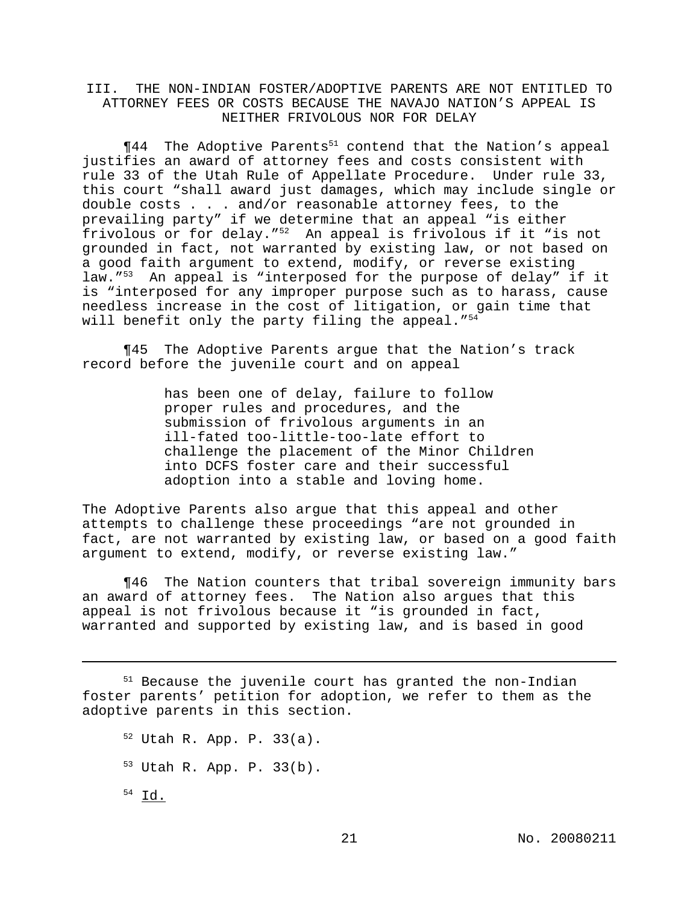# III. THE NON-INDIAN FOSTER/ADOPTIVE PARENTS ARE NOT ENTITLED TO ATTORNEY FEES OR COSTS BECAUSE THE NAVAJO NATION'S APPEAL IS NEITHER FRIVOLOUS NOR FOR DELAY

 $\P 44$  The Adoptive Parents<sup>51</sup> contend that the Nation's appeal justifies an award of attorney fees and costs consistent with rule 33 of the Utah Rule of Appellate Procedure. Under rule 33, this court "shall award just damages, which may include single or double costs . . . and/or reasonable attorney fees, to the prevailing party" if we determine that an appeal "is either frivolous or for delay."<sup>52</sup> An appeal is frivolous if it "is not grounded in fact, not warranted by existing law, or not based on a good faith argument to extend, modify, or reverse existing law."<sup>53</sup> An appeal is "interposed for the purpose of delay" if it is "interposed for any improper purpose such as to harass, cause needless increase in the cost of litigation, or gain time that will benefit only the party filing the appeal.  $"54$ 

¶45 The Adoptive Parents argue that the Nation's track record before the juvenile court and on appeal

> has been one of delay, failure to follow proper rules and procedures, and the submission of frivolous arguments in an ill-fated too-little-too-late effort to challenge the placement of the Minor Children into DCFS foster care and their successful adoption into a stable and loving home.

The Adoptive Parents also argue that this appeal and other attempts to challenge these proceedings "are not grounded in fact, are not warranted by existing law, or based on a good faith argument to extend, modify, or reverse existing law."

¶46 The Nation counters that tribal sovereign immunity bars an award of attorney fees. The Nation also argues that this appeal is not frivolous because it "is grounded in fact, warranted and supported by existing law, and is based in good

<sup>51</sup> Because the juvenile court has granted the non-Indian foster parents' petition for adoption, we refer to them as the adoptive parents in this section.

<sup>52</sup> Utah R. App. P. 33(a). <sup>53</sup> Utah R. App. P. 33(b).  $54$  Id.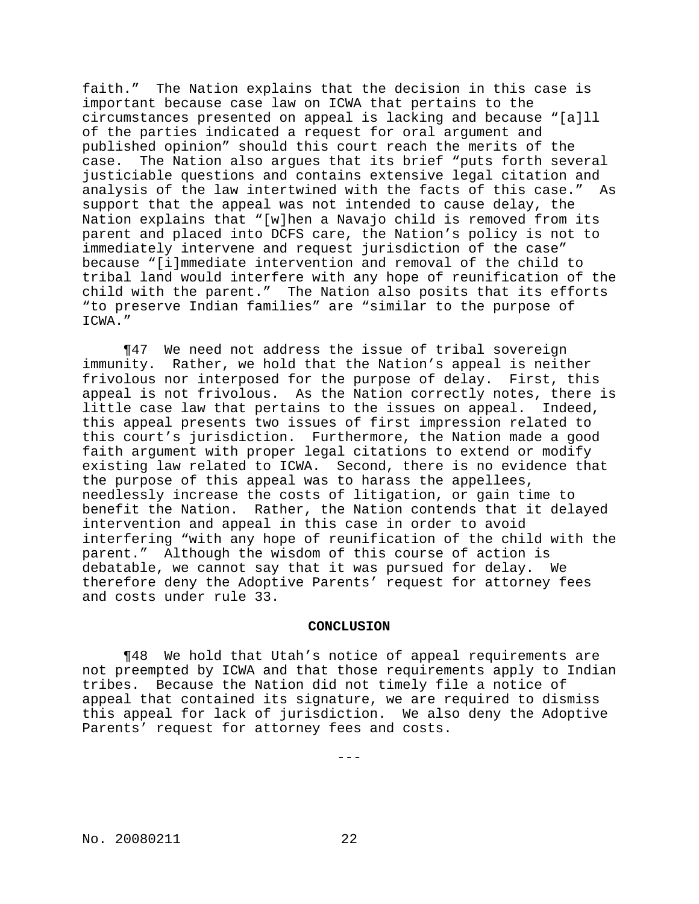faith." The Nation explains that the decision in this case is important because case law on ICWA that pertains to the circumstances presented on appeal is lacking and because "[a]ll of the parties indicated a request for oral argument and published opinion" should this court reach the merits of the case. The Nation also argues that its brief "puts forth several justiciable questions and contains extensive legal citation and analysis of the law intertwined with the facts of this case." As support that the appeal was not intended to cause delay, the Nation explains that "[w]hen a Navajo child is removed from its parent and placed into DCFS care, the Nation's policy is not to immediately intervene and request jurisdiction of the case" because "[i]mmediate intervention and removal of the child to tribal land would interfere with any hope of reunification of the child with the parent." The Nation also posits that its efforts "to preserve Indian families" are "similar to the purpose of ICWA."

¶47 We need not address the issue of tribal sovereign immunity. Rather, we hold that the Nation's appeal is neither frivolous nor interposed for the purpose of delay. First, this appeal is not frivolous. As the Nation correctly notes, there is little case law that pertains to the issues on appeal. Indeed, this appeal presents two issues of first impression related to this court's jurisdiction. Furthermore, the Nation made a good faith argument with proper legal citations to extend or modify existing law related to ICWA. Second, there is no evidence that the purpose of this appeal was to harass the appellees, needlessly increase the costs of litigation, or gain time to benefit the Nation. Rather, the Nation contends that it delayed intervention and appeal in this case in order to avoid interfering "with any hope of reunification of the child with the parent." Although the wisdom of this course of action is debatable, we cannot say that it was pursued for delay. We therefore deny the Adoptive Parents' request for attorney fees and costs under rule 33.

### **CONCLUSION**

¶48 We hold that Utah's notice of appeal requirements are not preempted by ICWA and that those requirements apply to Indian tribes. Because the Nation did not timely file a notice of appeal that contained its signature, we are required to dismiss this appeal for lack of jurisdiction. We also deny the Adoptive Parents' request for attorney fees and costs.

---